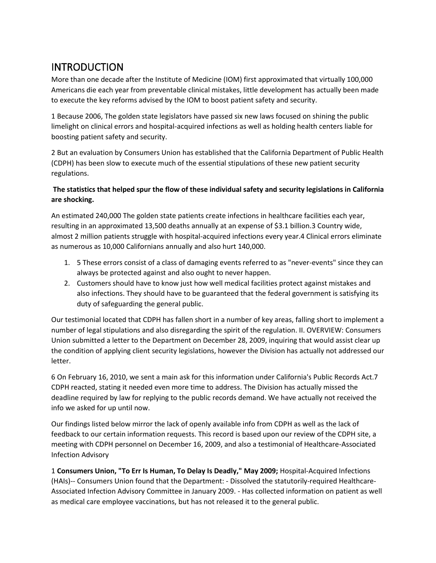# INTRODUCTION

More than one decade after the Institute of Medicine (IOM) first approximated that virtually 100,000 Americans die each year from preventable clinical mistakes, little development has actually been made to execute the key reforms advised by the IOM to boost patient safety and security.

1 Because 2006, The golden state legislators have passed six new laws focused on shining the public limelight on clinical errors and hospital-acquired infections as well as holding health centers liable for boosting patient safety and security.

2 But an evaluation by Consumers Union has established that the California Department of Public Health (CDPH) has been slow to execute much of the essential stipulations of these new patient security regulations.

#### **The statistics that helped spur the flow of these individual safety and security legislations in California are shocking.**

An estimated 240,000 The golden state patients create infections in healthcare facilities each year, resulting in an approximated 13,500 deaths annually at an expense of \$3.1 billion.3 Country wide, almost 2 million patients struggle with hospital-acquired infections every year.4 Clinical errors eliminate as numerous as 10,000 Californians annually and also hurt 140,000.

- 1. 5 These errors consist of a class of damaging events referred to as "never-events" since they can always be protected against and also ought to never happen.
- 2. Customers should have to know just how well medical facilities protect against mistakes and also infections. They should have to be guaranteed that the federal government is satisfying its duty of safeguarding the general public.

Our testimonial located that CDPH has fallen short in a number of key areas, falling short to implement a number of legal stipulations and also disregarding the spirit of the regulation. II. OVERVIEW: Consumers Union submitted a letter to the Department on December 28, 2009, inquiring that would assist clear up the condition of applying client security legislations, however the Division has actually not addressed our letter.

6 On February 16, 2010, we sent a main ask for this information under California's Public Records Act.7 CDPH reacted, stating it needed even more time to address. The Division has actually missed the deadline required by law for replying to the public records demand. We have actually not received the info we asked for up until now.

Our findings listed below mirror the lack of openly available info from CDPH as well as the lack of feedback to our certain information requests. This record is based upon our review of the CDPH site, a meeting with CDPH personnel on December 16, 2009, and also a testimonial of Healthcare-Associated Infection Advisory

1 **Consumers Union, "To Err Is Human, To Delay Is Deadly," May 2009;** Hospital-Acquired Infections (HAIs)-- Consumers Union found that the Department: - Dissolved the statutorily-required Healthcare-Associated Infection Advisory Committee in January 2009. - Has collected information on patient as well as medical care employee vaccinations, but has not released it to the general public.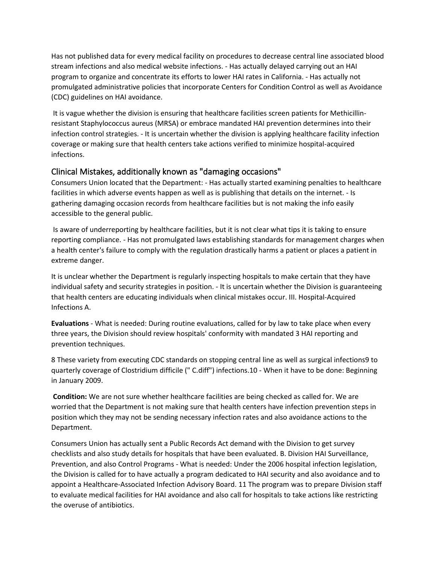Has not published data for every medical facility on procedures to decrease central line associated blood stream infections and also medical website infections. - Has actually delayed carrying out an HAI program to organize and concentrate its efforts to lower HAI rates in California. - Has actually not promulgated administrative policies that incorporate Centers for Condition Control as well as Avoidance (CDC) guidelines on HAI avoidance.

It is vague whether the division is ensuring that healthcare facilities screen patients for Methicillinresistant Staphylococcus aureus (MRSA) or embrace mandated HAI prevention determines into their infection control strategies. - It is uncertain whether the division is applying healthcare facility infection coverage or making sure that health centers take actions verified to minimize hospital-acquired infections.

### Clinical Mistakes, additionally known as "damaging occasions"

Consumers Union located that the Department: - Has actually started examining penalties to healthcare facilities in which adverse events happen as well as is publishing that details on the internet. - Is gathering damaging occasion records from healthcare facilities but is not making the info easily accessible to the general public.

Is aware of underreporting by healthcare facilities, but it is not clear what tips it is taking to ensure reporting compliance. - Has not promulgated laws establishing standards for management charges when a health center's failure to comply with the regulation drastically harms a patient or places a patient in extreme danger.

It is unclear whether the Department is regularly inspecting hospitals to make certain that they have individual safety and security strategies in position. - It is uncertain whether the Division is guaranteeing that health centers are educating individuals when clinical mistakes occur. III. Hospital-Acquired Infections A.

**Evaluations** - What is needed: During routine evaluations, called for by law to take place when every three years, the Division should review hospitals' conformity with mandated 3 HAI reporting and prevention techniques.

8 These variety from executing CDC standards on stopping central line as well as surgical infections9 to quarterly coverage of Clostridium difficile (" C.diff") infections.10 - When it have to be done: Beginning in January 2009.

**Condition:** We are not sure whether healthcare facilities are being checked as called for. We are worried that the Department is not making sure that health centers have infection prevention steps in position which they may not be sending necessary infection rates and also avoidance actions to the Department.

Consumers Union has actually sent a Public Records Act demand with the Division to get survey checklists and also study details for hospitals that have been evaluated. B. Division HAI Surveillance, Prevention, and also Control Programs - What is needed: Under the 2006 hospital infection legislation, the Division is called for to have actually a program dedicated to HAI security and also avoidance and to appoint a Healthcare-Associated Infection Advisory Board. 11 The program was to prepare Division staff to evaluate medical facilities for HAI avoidance and also call for hospitals to take actions like restricting the overuse of antibiotics.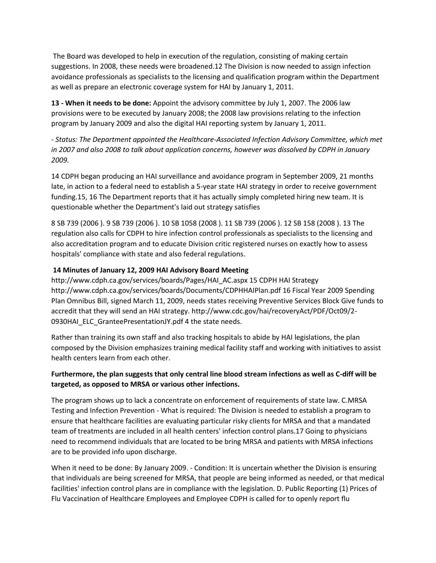The Board was developed to help in execution of the regulation, consisting of making certain suggestions. In 2008, these needs were broadened.12 The Division is now needed to assign infection avoidance professionals as specialists to the licensing and qualification program within the Department as well as prepare an electronic coverage system for HAI by January 1, 2011.

**13 - When it needs to be done:** Appoint the advisory committee by July 1, 2007. The 2006 law provisions were to be executed by January 2008; the 2008 law provisions relating to the infection program by January 2009 and also the digital HAI reporting system by January 1, 2011.

*- Status: The Department appointed the Healthcare-Associated Infection Advisory Committee, which met in 2007 and also 2008 to talk about application concerns, however was dissolved by CDPH in January 2009.*

14 CDPH began producing an HAI surveillance and avoidance program in September 2009, 21 months late, in action to a federal need to establish a 5-year state HAI strategy in order to receive government funding.15, 16 The Department reports that it has actually simply completed hiring new team. It is questionable whether the Department's laid out strategy satisfies

8 SB 739 (2006 ). 9 SB 739 (2006 ). 10 SB 1058 (2008 ). 11 SB 739 (2006 ). 12 SB 158 (2008 ). 13 The regulation also calls for CDPH to hire infection control professionals as specialists to the licensing and also accreditation program and to educate Division critic registered nurses on exactly how to assess hospitals' compliance with state and also federal regulations.

#### **14 Minutes of January 12, 2009 HAI Advisory Board Meeting**

http://www.cdph.ca.gov/services/boards/Pages/HAI\_AC.aspx 15 CDPH HAI Strategy http://www.cdph.ca.gov/services/boards/Documents/CDPHHAIPlan.pdf 16 Fiscal Year 2009 Spending Plan Omnibus Bill, signed March 11, 2009, needs states receiving Preventive Services Block Give funds to accredit that they will send an HAI strategy. http://www.cdc.gov/hai/recoveryAct/PDF/Oct09/2- 0930HAI\_ELC\_GranteePresentationJY.pdf 4 the state needs.

Rather than training its own staff and also tracking hospitals to abide by HAI legislations, the plan composed by the Division emphasizes training medical facility staff and working with initiatives to assist health centers learn from each other.

#### **Furthermore, the plan suggests that only central line blood stream infections as well as C-diff will be targeted, as opposed to MRSA or various other infections.**

The program shows up to lack a concentrate on enforcement of requirements of state law. C.MRSA Testing and Infection Prevention - What is required: The Division is needed to establish a program to ensure that healthcare facilities are evaluating particular risky clients for MRSA and that a mandated team of treatments are included in all health centers' infection control plans.17 Going to physicians need to recommend individuals that are located to be bring MRSA and patients with MRSA infections are to be provided info upon discharge.

When it need to be done: By January 2009. - Condition: It is uncertain whether the Division is ensuring that individuals are being screened for MRSA, that people are being informed as needed, or that medical facilities' infection control plans are in compliance with the legislation. D. Public Reporting (1) Prices of Flu Vaccination of Healthcare Employees and Employee CDPH is called for to openly report flu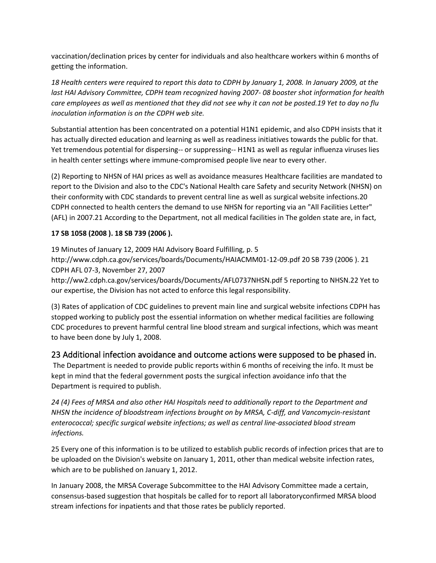vaccination/declination prices by center for individuals and also healthcare workers within 6 months of getting the information.

*18 Health centers were required to report this data to CDPH by January 1, 2008. In January 2009, at the last HAI Advisory Committee, CDPH team recognized having 2007- 08 booster shot information for health care employees as well as mentioned that they did not see why it can not be posted.19 Yet to day no flu inoculation information is on the CDPH web site.* 

Substantial attention has been concentrated on a potential H1N1 epidemic, and also CDPH insists that it has actually directed education and learning as well as readiness initiatives towards the public for that. Yet tremendous potential for dispersing-- or suppressing-- H1N1 as well as regular influenza viruses lies in health center settings where immune-compromised people live near to every other.

(2) Reporting to NHSN of HAI prices as well as avoidance measures Healthcare facilities are mandated to report to the Division and also to the CDC's National Health care Safety and security Network (NHSN) on their conformity with CDC standards to prevent central line as well as surgical website infections.20 CDPH connected to health centers the demand to use NHSN for reporting via an "All Facilities Letter" (AFL) in 2007.21 According to the Department, not all medical facilities in The golden state are, in fact,

#### **17 SB 1058 (2008 ). 18 SB 739 (2006 ).**

19 Minutes of January 12, 2009 HAI Advisory Board Fulfilling, p. 5 http://www.cdph.ca.gov/services/boards/Documents/HAIACMM01-12-09.pdf 20 SB 739 (2006 ). 21 CDPH AFL 07-3, November 27, 2007

http://ww2.cdph.ca.gov/services/boards/Documents/AFL0737NHSN.pdf 5 reporting to NHSN.22 Yet to our expertise, the Division has not acted to enforce this legal responsibility.

(3) Rates of application of CDC guidelines to prevent main line and surgical website infections CDPH has stopped working to publicly post the essential information on whether medical facilities are following CDC procedures to prevent harmful central line blood stream and surgical infections, which was meant to have been done by July 1, 2008.

#### 23 Additional infection avoidance and outcome actions were supposed to be phased in.

The Department is needed to provide public reports within 6 months of receiving the info. It must be kept in mind that the federal government posts the surgical infection avoidance info that the Department is required to publish.

*24 (4) Fees of MRSA and also other HAI Hospitals need to additionally report to the Department and NHSN the incidence of bloodstream infections brought on by MRSA, C-diff, and Vancomycin-resistant enterococcal; specific surgical website infections; as well as central line-associated blood stream infections.*

25 Every one of this information is to be utilized to establish public records of infection prices that are to be uploaded on the Division's website on January 1, 2011, other than medical website infection rates, which are to be published on January 1, 2012.

In January 2008, the MRSA Coverage Subcommittee to the HAI Advisory Committee made a certain, consensus-based suggestion that hospitals be called for to report all laboratoryconfirmed MRSA blood stream infections for inpatients and that those rates be publicly reported.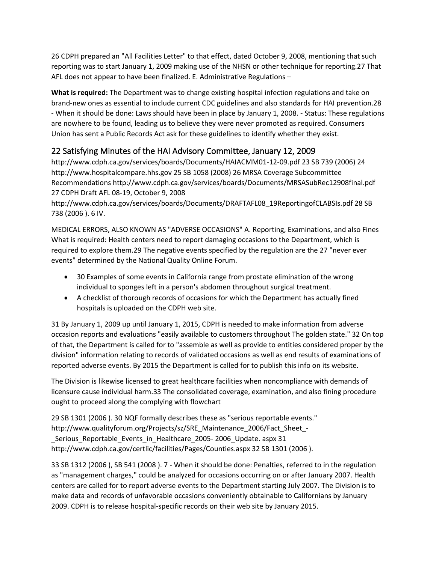26 CDPH prepared an "All Facilities Letter" to that effect, dated October 9, 2008, mentioning that such reporting was to start January 1, 2009 making use of the NHSN or other technique for reporting.27 That AFL does not appear to have been finalized. E. Administrative Regulations –

**What is required:** The Department was to change existing hospital infection regulations and take on brand-new ones as essential to include current CDC guidelines and also standards for HAI prevention.28 - When it should be done: Laws should have been in place by January 1, 2008. - Status: These regulations are nowhere to be found, leading us to believe they were never promoted as required. Consumers Union has sent a Public Records Act ask for these guidelines to identify whether they exist.

## 22 Satisfying Minutes of the HAI Advisory Committee, January 12, 2009

http://www.cdph.ca.gov/services/boards/Documents/HAIACMM01-12-09.pdf 23 SB 739 (2006) 24 http://www.hospitalcompare.hhs.gov 25 SB 1058 (2008) 26 MRSA Coverage Subcommittee Recommendations http://www.cdph.ca.gov/services/boards/Documents/MRSASubRec12908final.pdf 27 CDPH Draft AFL 08-19, October 9, 2008

http://www.cdph.ca.gov/services/boards/Documents/DRAFTAFL08\_19ReportingofCLABSIs.pdf 28 SB 738 (2006 ). 6 IV.

MEDICAL ERRORS, ALSO KNOWN AS "ADVERSE OCCASIONS" A. Reporting, Examinations, and also Fines What is required: Health centers need to report damaging occasions to the Department, which is required to explore them.29 The negative events specified by the regulation are the 27 "never ever events" determined by the National Quality Online Forum.

- 30 Examples of some events in California range from prostate elimination of the wrong individual to sponges left in a person's abdomen throughout surgical treatment.
- A checklist of thorough records of occasions for which the Department has actually fined hospitals is uploaded on the CDPH web site.

31 By January 1, 2009 up until January 1, 2015, CDPH is needed to make information from adverse occasion reports and evaluations "easily available to customers throughout The golden state." 32 On top of that, the Department is called for to "assemble as well as provide to entities considered proper by the division" information relating to records of validated occasions as well as end results of examinations of reported adverse events. By 2015 the Department is called for to publish this info on its website.

The Division is likewise licensed to great healthcare facilities when noncompliance with demands of licensure cause individual harm.33 The consolidated coverage, examination, and also fining procedure ought to proceed along the complying with flowchart

29 SB 1301 (2006 ). 30 NQF formally describes these as "serious reportable events." http://www.qualityforum.org/Projects/sz/SRE\_Maintenance\_2006/Fact\_Sheet\_- Serious Reportable Events in Healthcare 2005- 2006 Update. aspx 31 http://www.cdph.ca.gov/certlic/facilities/Pages/Counties.aspx 32 SB 1301 (2006 ).

33 SB 1312 (2006 ), SB 541 (2008 ). 7 - When it should be done: Penalties, referred to in the regulation as "management charges," could be analyzed for occasions occurring on or after January 2007. Health centers are called for to report adverse events to the Department starting July 2007. The Division is to make data and records of unfavorable occasions conveniently obtainable to Californians by January 2009. CDPH is to release hospital-specific records on their web site by January 2015.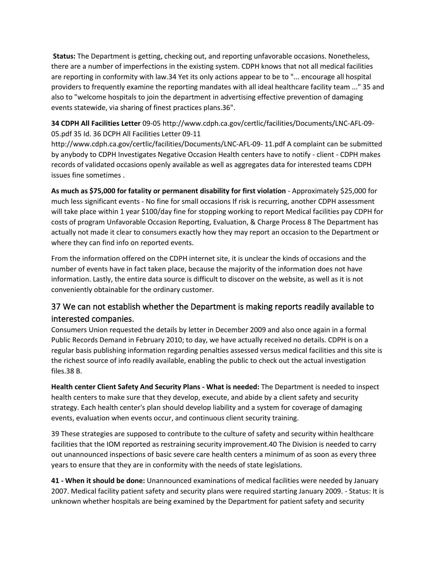**Status:** The Department is getting, checking out, and reporting unfavorable occasions. Nonetheless, there are a number of imperfections in the existing system. CDPH knows that not all medical facilities are reporting in conformity with law.34 Yet its only actions appear to be to "... encourage all hospital providers to frequently examine the reporting mandates with all ideal healthcare facility team ..." 35 and also to "welcome hospitals to join the department in advertising effective prevention of damaging events statewide, via sharing of finest practices plans.36".

**34 CDPH All Facilities Letter** 09-05 http://www.cdph.ca.gov/certlic/facilities/Documents/LNC-AFL-09- 05.pdf 35 Id. 36 DCPH All Facilities Letter 09-11

http://www.cdph.ca.gov/certlic/facilities/Documents/LNC-AFL-09- 11.pdf A complaint can be submitted by anybody to CDPH Investigates Negative Occasion Health centers have to notify - client - CDPH makes records of validated occasions openly available as well as aggregates data for interested teams CDPH issues fine sometimes .

**As much as \$75,000 for fatality or permanent disability for first violation** - Approximately \$25,000 for much less significant events - No fine for small occasions If risk is recurring, another CDPH assessment will take place within 1 year \$100/day fine for stopping working to report Medical facilities pay CDPH for costs of program Unfavorable Occasion Reporting, Evaluation, & Charge Process 8 The Department has actually not made it clear to consumers exactly how they may report an occasion to the Department or where they can find info on reported events.

From the information offered on the CDPH internet site, it is unclear the kinds of occasions and the number of events have in fact taken place, because the majority of the information does not have information. Lastly, the entire data source is difficult to discover on the website, as well as it is not conveniently obtainable for the ordinary customer.

## 37 We can not establish whether the Department is making reports readily available to interested companies.

Consumers Union requested the details by letter in December 2009 and also once again in a formal Public Records Demand in February 2010; to day, we have actually received no details. CDPH is on a regular basis publishing information regarding penalties assessed versus medical facilities and this site is the richest source of info readily available, enabling the public to check out the actual investigation files.38 B.

**Health center Client Safety And Security Plans - What is needed:** The Department is needed to inspect health centers to make sure that they develop, execute, and abide by a client safety and security strategy. Each health center's plan should develop liability and a system for coverage of damaging events, evaluation when events occur, and continuous client security training.

39 These strategies are supposed to contribute to the culture of safety and security within healthcare facilities that the IOM reported as restraining security improvement.40 The Division is needed to carry out unannounced inspections of basic severe care health centers a minimum of as soon as every three years to ensure that they are in conformity with the needs of state legislations.

**41 - When it should be done:** Unannounced examinations of medical facilities were needed by January 2007. Medical facility patient safety and security plans were required starting January 2009. - Status: It is unknown whether hospitals are being examined by the Department for patient safety and security